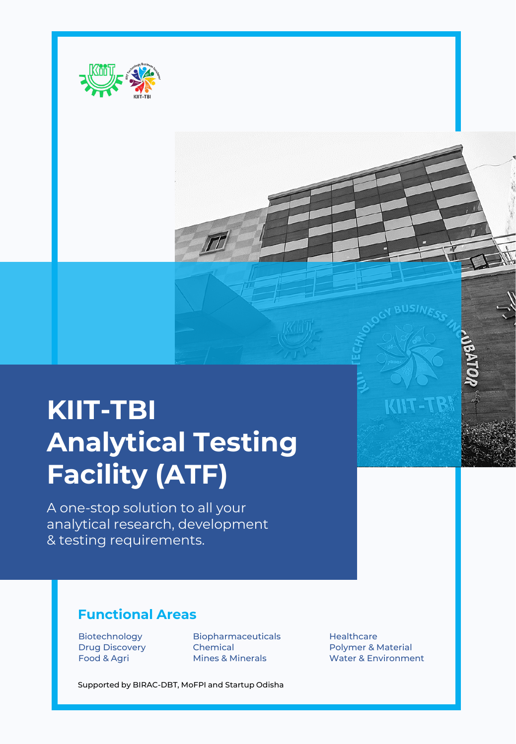

# **KIIT-TBI Analytical Testing Facility (ATF)**

A one-stop solution to all your analytical research, development & testing requirements.

# **Functional Areas**

Biotechnology Biopharmaceuticals Healthcare Drug Discovery **Chemical** Polymer & Material Polymer & Material

Supported by BIRAC-DBT, MoFPI and Startup Odisha

Food & Agri **Mines & Minerals** Water & Environment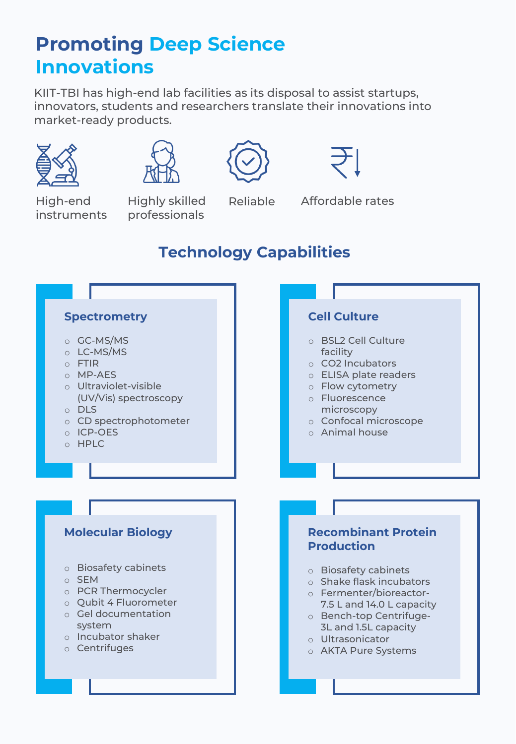# **Promoting Deep Science Innovations**

KIIT-TBI has high-end lab facilities as its disposal to assist startups, innovators, students and researchers translate their innovations into market-ready products.









High-end instruments

Highly skilled professionals

Reliable Affordable rates

# **Technology Capabilities**

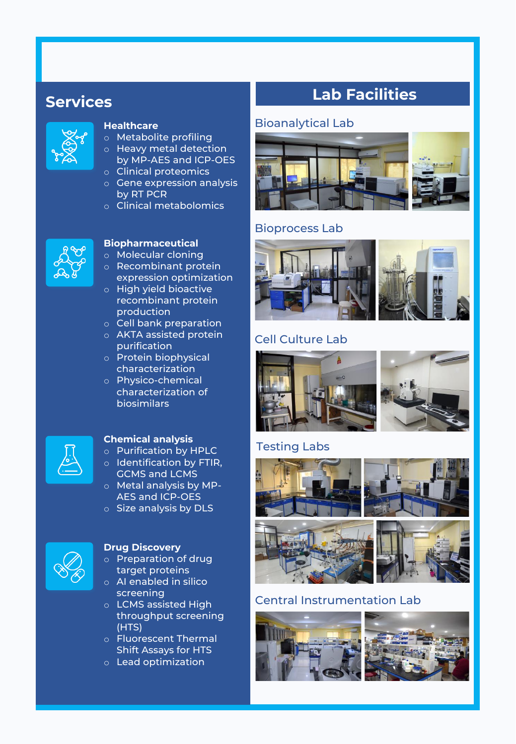# **Services**



#### **Healthcare**

- o Metabolite profiling
- o Heavy metal detection by MP-AES and ICP-OES
- o Clinical proteomics
- o Gene expression analysis by RT PCR
- o Clinical metabolomics



### **Biopharmaceutical**

- o Molecular cloning
- o Recombinant protein expression optimization
- o High yield bioactive recombinant protein production
- o Cell bank preparation
- o AKTA assisted protein purification
- o Protein biophysical characterization
- o Physico-chemical characterization of biosimilars



### **Chemical analysis**

- o Purification by HPLC o Identification by FTIR,
- GCMS and LCMS o Metal analysis by MP-
- AES and ICP-OES
- o Size analysis by DLS



### **Drug Discovery**

- o Preparation of drug target proteins
- o AI enabled in silico screening
- o LCMS assisted High throughput screening (HTS)
- o Fluorescent Thermal Shift Assays for HTS
- o Lead optimization

# **Lab Facilities**

### Bioanalytical Lab



## Bioprocess Lab



# Cell Culture Lab



## Testing Labs



# Central Instrumentation Lab